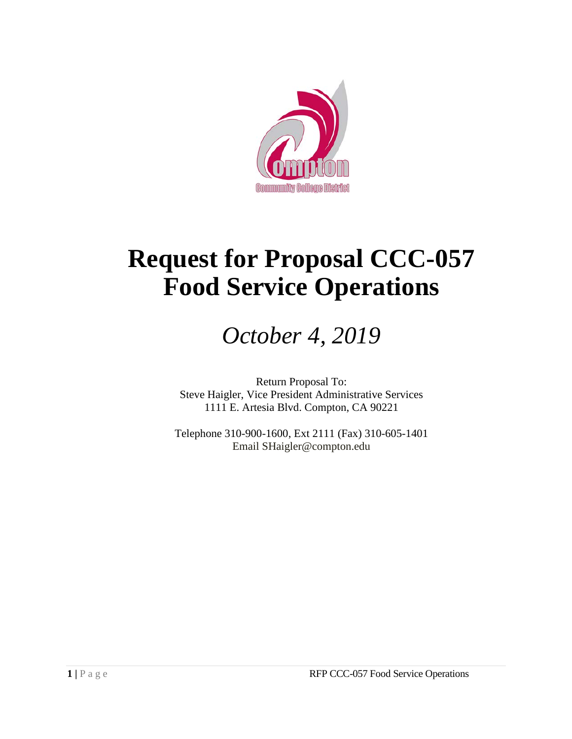

# **Request for Proposal CCC-057 Food Service Operations**

## *October 4, 2019*

Return Proposal To: Steve Haigler, Vice President Administrative Services 1111 E. Artesia Blvd. Compton, CA 90221

Telephone 310-900-1600, Ext 2111 (Fax) 310-605-1401 Email SHaigler@compton.edu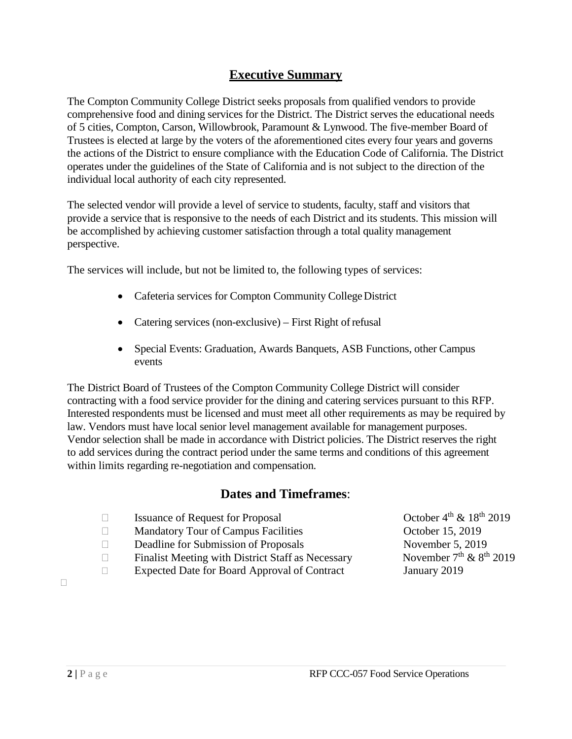## **Executive Summary**

The Compton Community College District seeks proposals from qualified vendors to provide comprehensive food and dining services for the District. The District serves the educational needs of 5 cities, Compton, Carson, Willowbrook, Paramount & Lynwood. The five-member Board of Trustees is elected at large by the voters of the aforementioned cites every four years and governs the actions of the District to ensure compliance with the Education Code of California. The District operates under the guidelines of the State of California and is not subject to the direction of the individual local authority of each city represented.

The selected vendor will provide a level of service to students, faculty, staff and visitors that provide a service that is responsive to the needs of each District and its students. This mission will be accomplished by achieving customer satisfaction through a total quality management perspective.

The services will include, but not be limited to, the following types of services:

- Cafeteria services for Compton Community College District
- Catering services (non-exclusive) First Right of refusal
- Special Events: Graduation, Awards Banquets, ASB Functions, other Campus events

The District Board of Trustees of the Compton Community College District will consider contracting with a food service provider for the dining and catering services pursuant to this RFP. Interested respondents must be licensed and must meet all other requirements as may be required by law. Vendors must have local senior level management available for management purposes. Vendor selection shall be made in accordance with District policies. The District reserves the right to add services during the contract period under the same terms and conditions of this agreement within limits regarding re-negotiation and compensation.

## **Dates and Timeframes**:

□ Issuance of Request for Proposal  $\Box$  October  $4^{th}$  &  $18^{th}$  2019

□ Mandatory Tour of Campus Facilities 0ctober 15, 2019

- Deadline for Submission of Proposals November 5, 2019
- **Finalist Meeting with District Staff as Necessary** November  $7<sup>th</sup>$  &  $8<sup>th</sup>$  2019
- Expected Date for Board Approval of Contract January 2019

 $\Box$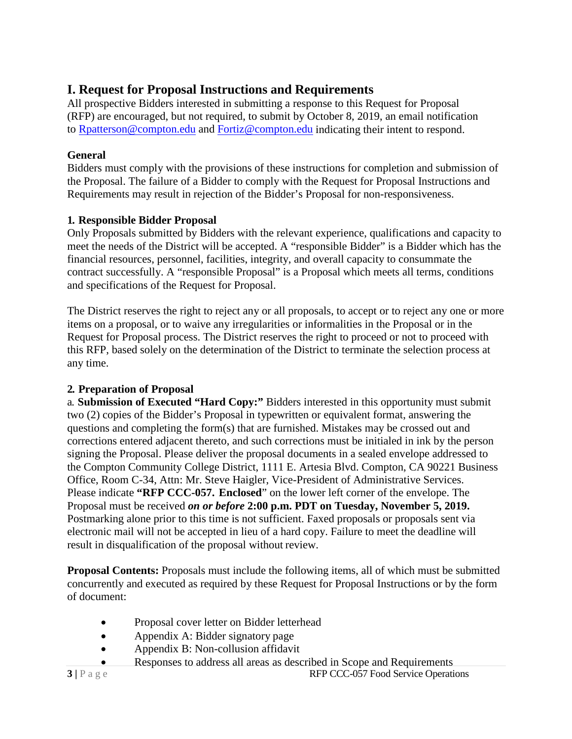## **I. Request for Proposal Instructions and Requirements**

All prospective Bidders interested in submitting a response to this Request for Proposal (RFP) are encouraged, but not required, to submit by October 8, 2019, an email notification to [Rpatterson@compton.edu](mailto:Rpatterson@compton.edu) and [Fortiz@compton.edu](mailto:Fortiz@compton.edu) indicating their intent to respond.

## **General**

Bidders must comply with the provisions of these instructions for completion and submission of the Proposal. The failure of a Bidder to comply with the Request for Proposal Instructions and Requirements may result in rejection of the Bidder's Proposal for non-responsiveness.

## **1. Responsible Bidder Proposal**

Only Proposals submitted by Bidders with the relevant experience, qualifications and capacity to meet the needs of the District will be accepted. A "responsible Bidder" is a Bidder which has the financial resources, personnel, facilities, integrity, and overall capacity to consummate the contract successfully. A "responsible Proposal" is a Proposal which meets all terms, conditions and specifications of the Request for Proposal.

The District reserves the right to reject any or all proposals, to accept or to reject any one or more items on a proposal, or to waive any irregularities or informalities in the Proposal or in the Request for Proposal process. The District reserves the right to proceed or not to proceed with this RFP, based solely on the determination of the District to terminate the selection process at any time.

## **2. Preparation of Proposal**

a. **Submission of Executed "Hard Copy:"** Bidders interested in this opportunity must submit two (2) copies of the Bidder's Proposal in typewritten or equivalent format, answering the questions and completing the form(s) that are furnished. Mistakes may be crossed out and corrections entered adjacent thereto, and such corrections must be initialed in ink by the person signing the Proposal. Please deliver the proposal documents in a sealed envelope addressed to the Compton Community College District, 1111 E. Artesia Blvd. Compton, CA 90221 Business Office, Room C-34, Attn: Mr. Steve Haigler, Vice-President of Administrative Services. Please indicate **"RFP CCC-057. Enclosed**" on the lower left corner of the envelope. The Proposal must be received *on or before* **2:00 p.m. PDT on Tuesday, November 5, 2019.**  Postmarking alone prior to this time is not sufficient. Faxed proposals or proposals sent via electronic mail will not be accepted in lieu of a hard copy. Failure to meet the deadline will result in disqualification of the proposal without review.

**Proposal Contents:** Proposals must include the following items, all of which must be submitted concurrently and executed as required by these Request for Proposal Instructions or by the form of document:

- Proposal cover letter on Bidder letterhead
- Appendix A: Bidder signatory page
- Appendix B: Non-collusion affidavit
	- Responses to address all areas as described in Scope and Requirements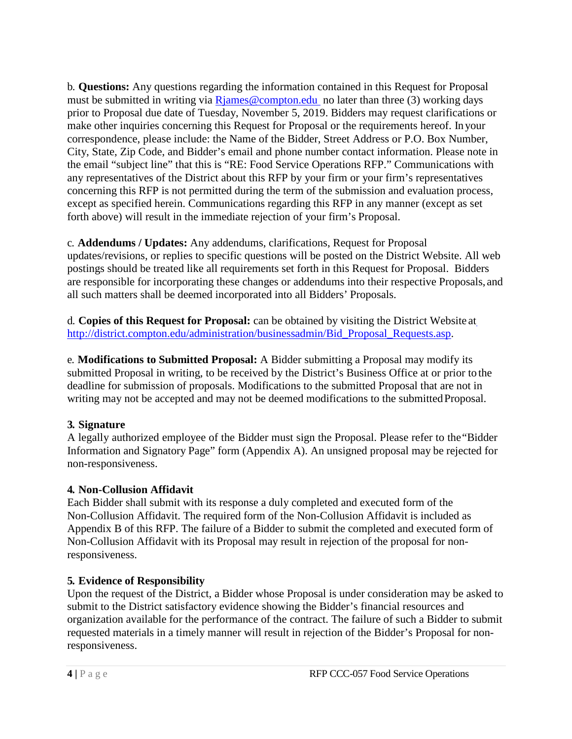b. **Questions:** Any questions regarding the information contained in this Request for Proposal must be submitted in writing via  $R$ james@compton.edu no later than three (3) working days prior to Proposal due date of Tuesday, November 5, 2019. Bidders may request clarifications or make other inquiries concerning this Request for Proposal or the requirements hereof. In your correspondence, please include: the Name of the Bidder, Street Address or P.O. Box Number, City, State, Zip Code, and Bidder's email and phone number contact information. Please note in the email "subject line" that this is "RE: Food Service Operations RFP." Communications with any representatives of the District about this RFP by your firm or your firm's representatives concerning this RFP is not permitted during the term of the submission and evaluation process, except as specified herein. Communications regarding this RFP in any manner (except as set forth above) will result in the immediate rejection of your firm's Proposal.

c. **Addendums / Updates:** Any addendums, clarifications, Request for Proposal updates/revisions, or replies to specific questions will be posted on the District Website. All web postings should be treated like all requirements set forth in this Request for Proposal. Bidders are responsible for incorporating these changes or addendums into their respective Proposals, and all such matters shall be deemed incorporated into all Bidders' Proposals.

d. **Copies of this Request for Proposal:** can be obtained by visiting the District Website at [http://district.compton.edu/administration/businessadmin/Bid\\_Proposal\\_Requests.asp.](http://district.compton.edu/administration/businessadmin/Bid_Proposal_Requests.asp)

e. **Modifications to Submitted Proposal:** A Bidder submitting a Proposal may modify its submitted Proposal in writing, to be received by the District's Business Office at or prior to the deadline for submission of proposals. Modifications to the submitted Proposal that are not in writing may not be accepted and may not be deemed modifications to the submitted Proposal.

## **3. Signature**

A legally authorized employee of the Bidder must sign the Proposal. Please refer to the"Bidder Information and Signatory Page" form (Appendix A). An unsigned proposal may be rejected for non-responsiveness.

## **4. Non-Collusion Affidavit**

Each Bidder shall submit with its response a duly completed and executed form of the Non-Collusion Affidavit. The required form of the Non-Collusion Affidavit is included as Appendix B of this RFP. The failure of a Bidder to submit the completed and executed form of Non-Collusion Affidavit with its Proposal may result in rejection of the proposal for nonresponsiveness.

## **5. Evidence of Responsibility**

Upon the request of the District, a Bidder whose Proposal is under consideration may be asked to submit to the District satisfactory evidence showing the Bidder's financial resources and organization available for the performance of the contract. The failure of such a Bidder to submit requested materials in a timely manner will result in rejection of the Bidder's Proposal for nonresponsiveness.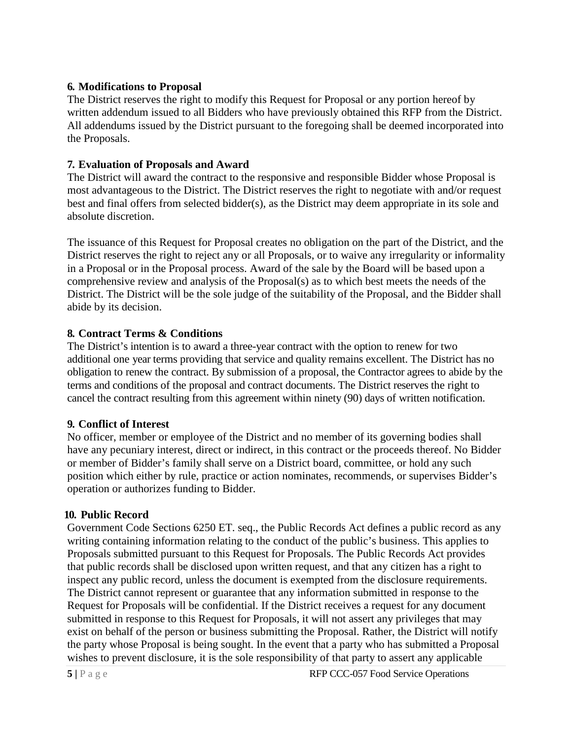## **6. Modifications to Proposal**

The District reserves the right to modify this Request for Proposal or any portion hereof by written addendum issued to all Bidders who have previously obtained this RFP from the District. All addendums issued by the District pursuant to the foregoing shall be deemed incorporated into the Proposals.

## **7. Evaluation of Proposals and Award**

The District will award the contract to the responsive and responsible Bidder whose Proposal is most advantageous to the District. The District reserves the right to negotiate with and/or request best and final offers from selected bidder(s), as the District may deem appropriate in its sole and absolute discretion.

The issuance of this Request for Proposal creates no obligation on the part of the District, and the District reserves the right to reject any or all Proposals, or to waive any irregularity or informality in a Proposal or in the Proposal process. Award of the sale by the Board will be based upon a comprehensive review and analysis of the Proposal(s) as to which best meets the needs of the District. The District will be the sole judge of the suitability of the Proposal, and the Bidder shall abide by its decision.

## **8. Contract Terms & Conditions**

The District's intention is to award a three-year contract with the option to renew for two additional one year terms providing that service and quality remains excellent. The District has no obligation to renew the contract. By submission of a proposal, the Contractor agrees to abide by the terms and conditions of the proposal and contract documents. The District reserves the right to cancel the contract resulting from this agreement within ninety (90) days of written notification.

## **9. Conflict of Interest**

No officer, member or employee of the District and no member of its governing bodies shall have any pecuniary interest, direct or indirect, in this contract or the proceeds thereof. No Bidder or member of Bidder's family shall serve on a District board, committee, or hold any such position which either by rule, practice or action nominates, recommends, or supervises Bidder's operation or authorizes funding to Bidder.

## **10. Public Record**

Government Code Sections 6250 ET. seq., the Public Records Act defines a public record as any writing containing information relating to the conduct of the public's business. This applies to Proposals submitted pursuant to this Request for Proposals. The Public Records Act provides that public records shall be disclosed upon written request, and that any citizen has a right to inspect any public record, unless the document is exempted from the disclosure requirements. The District cannot represent or guarantee that any information submitted in response to the Request for Proposals will be confidential. If the District receives a request for any document submitted in response to this Request for Proposals, it will not assert any privileges that may exist on behalf of the person or business submitting the Proposal. Rather, the District will notify the party whose Proposal is being sought. In the event that a party who has submitted a Proposal wishes to prevent disclosure, it is the sole responsibility of that party to assert any applicable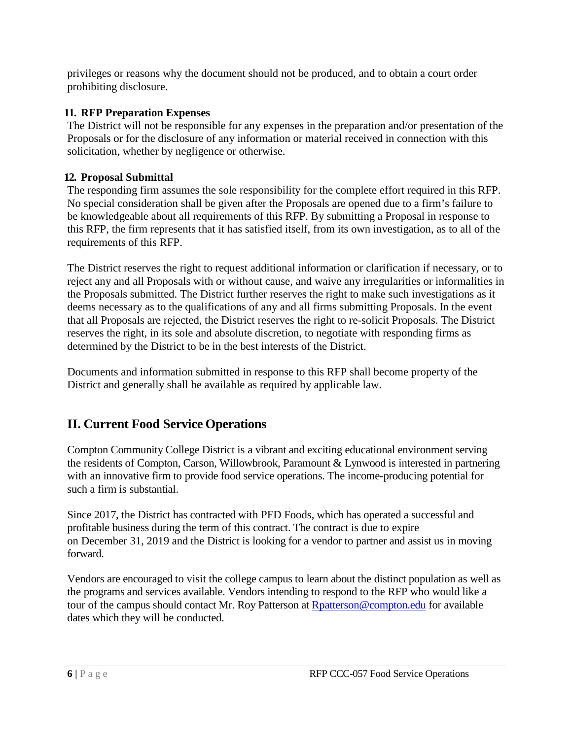privileges or reasons why the document should not be produced, and to obtain a court order prohibiting disclosure.

## **11. RFP Preparation Expenses**

The District will not be responsible for any expenses in the preparation and/or presentation of the Proposals or for the disclosure of any information or material received in connection with this solicitation, whether by negligence or otherwise.

## **12. Proposal Submittal**

The responding firm assumes the sole responsibility for the complete effort required in this RFP. No special consideration shall be given after the Proposals are opened due to a firm's failure to be knowledgeable about all requirements of this RFP. By submitting a Proposal in response to this RFP, the firm represents that it has satisfied itself, from its own investigation, as to all of the requirements of this RFP.

The District reserves the right to request additional information or clarification if necessary, or to reject any and all Proposals with or without cause, and waive any irregularities or informalities in the Proposals submitted. The District further reserves the right to make such investigations as it deems necessary as to the qualifications of any and all firms submitting Proposals. In the event that all Proposals are rejected, the District reserves the right to re-solicit Proposals. The District reserves the right, in its sole and absolute discretion, to negotiate with responding firms as determined by the District to be in the best interests of the District.

Documents and information submitted in response to this RFP shall become property of the District and generally shall be available as required by applicable law.

## **II. Current Food Service Operations**

Compton Community College District is a vibrant and exciting educational environment serving the residents of Compton, Carson, Willowbrook, Paramount & Lynwood is interested in partnering with an innovative firm to provide food service operations. The income-producing potential for such a firm is substantial.

Since 2017, the District has contracted with PFD Foods, which has operated a successful and profitable business during the term of this contract. The contract is due to expire on December 31, 2019 and the District is looking for a vendor to partner and assist us in moving forward.

Vendors are encouraged to visit the college campus to learn about the distinct population as well as the programs and services available. Vendors intending to respond to the RFP who would like a tour of the campus should contact Mr. Roy Patterson at [Rpatterson@compton.edu](mailto:Rpatterson@compton.edu) for available dates which they will be conducted.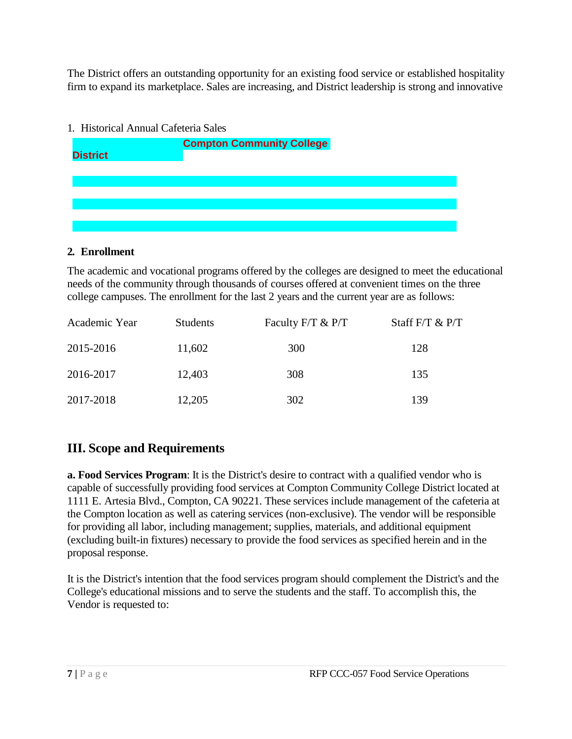The District offers an outstanding opportunity for an existing food service or established hospitality firm to expand its marketplace. Sales are increasing, and District leadership is strong and innovative

# 1. Historical Annual Cafeteria Sales **Compton Community College District**

## **2. Enrollment**

The academic and vocational programs offered by the colleges are designed to meet the educational needs of the community through thousands of courses offered at convenient times on the three college campuses. The enrollment for the last 2 years and the current year are as follows:

| Academic Year | <b>Students</b> | Faculty F/T & P/T | Staff $F/T \& P/T$ |
|---------------|-----------------|-------------------|--------------------|
| 2015-2016     | 11,602          | 300               | 128                |
| 2016-2017     | 12,403          | 308               | 135                |
| 2017-2018     | 12,205          | 302               | 139                |

## **III. Scope and Requirements**

**a. Food Services Program**: It is the District's desire to contract with a qualified vendor who is capable of successfully providing food services at Compton Community College District located at 1111 E. Artesia Blvd., Compton, CA 90221. These services include management of the cafeteria at the Compton location as well as catering services (non-exclusive). The vendor will be responsible for providing all labor, including management; supplies, materials, and additional equipment (excluding built-in fixtures) necessary to provide the food services as specified herein and in the proposal response.

It is the District's intention that the food services program should complement the District's and the College's educational missions and to serve the students and the staff. To accomplish this, the Vendor is requested to: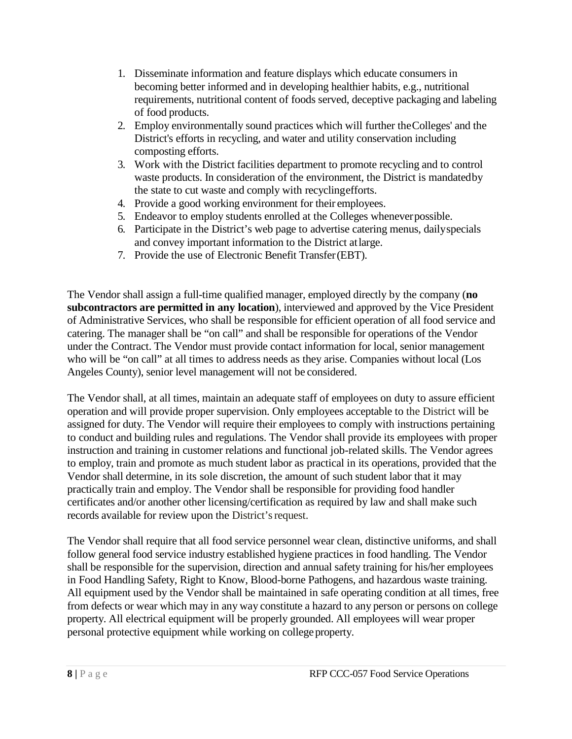- 1. Disseminate information and feature displays which educate consumers in becoming better informed and in developing healthier habits, e.g., nutritional requirements, nutritional content of foods served, deceptive packaging and labeling of food products.
- 2. Employ environmentally sound practices which will further theColleges' and the District's efforts in recycling, and water and utility conservation including composting efforts.
- 3. Work with the District facilities department to promote recycling and to control waste products. In consideration of the environment, the District is mandatedby the state to cut waste and comply with recyclingefforts.
- 4. Provide a good working environment for their employees.
- 5. Endeavor to employ students enrolled at the Colleges wheneverpossible.
- 6. Participate in the District's web page to advertise catering menus, dailyspecials and convey important information to the District atlarge.
- 7. Provide the use of Electronic Benefit Transfer(EBT).

The Vendor shall assign a full-time qualified manager, employed directly by the company (**no subcontractors are permitted in any location**), interviewed and approved by the Vice President of Administrative Services, who shall be responsible for efficient operation of all food service and catering. The manager shall be "on call" and shall be responsible for operations of the Vendor under the Contract. The Vendor must provide contact information for local, senior management who will be "on call" at all times to address needs as they arise. Companies without local (Los Angeles County), senior level management will not be considered.

The Vendor shall, at all times, maintain an adequate staff of employees on duty to assure efficient operation and will provide proper supervision. Only employees acceptable to the District will be assigned for duty. The Vendor will require their employees to comply with instructions pertaining to conduct and building rules and regulations. The Vendor shall provide its employees with proper instruction and training in customer relations and functional job-related skills. The Vendor agrees to employ, train and promote as much student labor as practical in its operations, provided that the Vendor shall determine, in its sole discretion, the amount of such student labor that it may practically train and employ. The Vendor shall be responsible for providing food handler certificates and/or another other licensing/certification as required by law and shall make such records available for review upon the District's request.

The Vendor shall require that all food service personnel wear clean, distinctive uniforms, and shall follow general food service industry established hygiene practices in food handling. The Vendor shall be responsible for the supervision, direction and annual safety training for his/her employees in Food Handling Safety, Right to Know, Blood-borne Pathogens, and hazardous waste training. All equipment used by the Vendor shall be maintained in safe operating condition at all times, free from defects or wear which may in any way constitute a hazard to any person or persons on college property. All electrical equipment will be properly grounded. All employees will wear proper personal protective equipment while working on college property.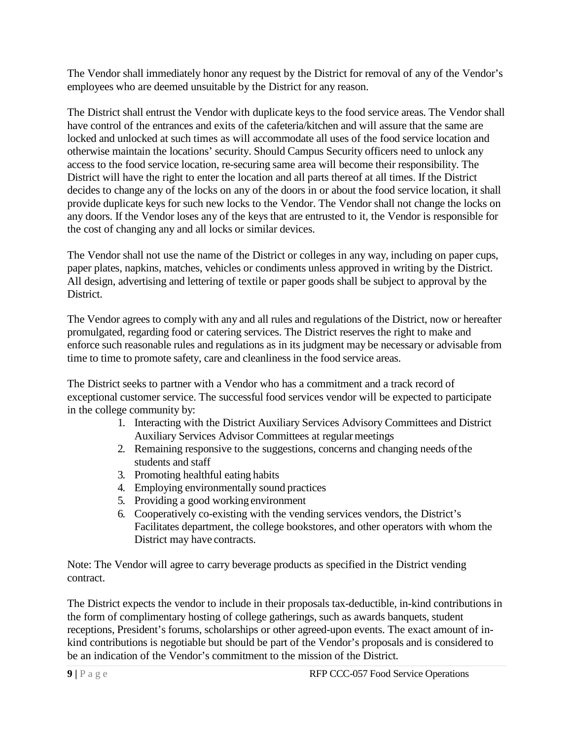The Vendor shall immediately honor any request by the District for removal of any of the Vendor's employees who are deemed unsuitable by the District for any reason.

The District shall entrust the Vendor with duplicate keys to the food service areas. The Vendor shall have control of the entrances and exits of the cafeteria/kitchen and will assure that the same are locked and unlocked at such times as will accommodate all uses of the food service location and otherwise maintain the locations' security. Should Campus Security officers need to unlock any access to the food service location, re-securing same area will become their responsibility. The District will have the right to enter the location and all parts thereof at all times. If the District decides to change any of the locks on any of the doors in or about the food service location, it shall provide duplicate keys for such new locks to the Vendor. The Vendor shall not change the locks on any doors. If the Vendor loses any of the keys that are entrusted to it, the Vendor is responsible for the cost of changing any and all locks or similar devices.

The Vendor shall not use the name of the District or colleges in any way, including on paper cups, paper plates, napkins, matches, vehicles or condiments unless approved in writing by the District. All design, advertising and lettering of textile or paper goods shall be subject to approval by the District.

The Vendor agrees to comply with any and all rules and regulations of the District, now or hereafter promulgated, regarding food or catering services. The District reserves the right to make and enforce such reasonable rules and regulations as in its judgment may be necessary or advisable from time to time to promote safety, care and cleanliness in the food service areas.

The District seeks to partner with a Vendor who has a commitment and a track record of exceptional customer service. The successful food services vendor will be expected to participate in the college community by:

- 1. Interacting with the District Auxiliary Services Advisory Committees and District Auxiliary Services Advisor Committees at regular meetings
- 2. Remaining responsive to the suggestions, concerns and changing needs ofthe students and staff
- 3. Promoting healthful eating habits
- 4. Employing environmentally sound practices
- 5. Providing a good working environment
- 6. Cooperatively co-existing with the vending services vendors, the District's Facilitates department, the college bookstores, and other operators with whom the District may have contracts.

Note: The Vendor will agree to carry beverage products as specified in the District vending contract.

The District expects the vendor to include in their proposals tax-deductible, in-kind contributions in the form of complimentary hosting of college gatherings, such as awards banquets, student receptions, President's forums, scholarships or other agreed-upon events. The exact amount of inkind contributions is negotiable but should be part of the Vendor's proposals and is considered to be an indication of the Vendor's commitment to the mission of the District.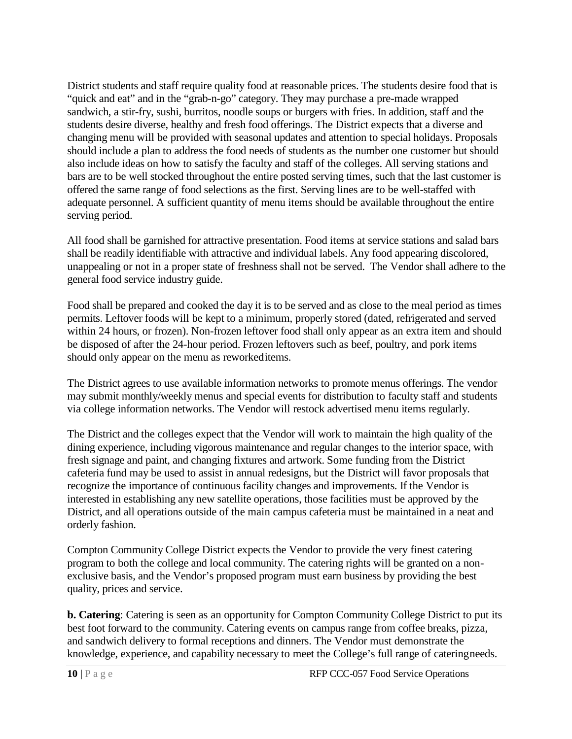District students and staff require quality food at reasonable prices. The students desire food that is "quick and eat" and in the "grab-n-go" category. They may purchase a pre-made wrapped sandwich, a stir-fry, sushi, burritos, noodle soups or burgers with fries. In addition, staff and the students desire diverse, healthy and fresh food offerings. The District expects that a diverse and changing menu will be provided with seasonal updates and attention to special holidays. Proposals should include a plan to address the food needs of students as the number one customer but should also include ideas on how to satisfy the faculty and staff of the colleges. All serving stations and bars are to be well stocked throughout the entire posted serving times, such that the last customer is offered the same range of food selections as the first. Serving lines are to be well-staffed with adequate personnel. A sufficient quantity of menu items should be available throughout the entire serving period.

All food shall be garnished for attractive presentation. Food items at service stations and salad bars shall be readily identifiable with attractive and individual labels. Any food appearing discolored, unappealing or not in a proper state of freshness shall not be served. The Vendor shall adhere to the general food service industry guide.

Food shall be prepared and cooked the day it is to be served and as close to the meal period as times permits. Leftover foods will be kept to a minimum, properly stored (dated, refrigerated and served within 24 hours, or frozen). Non-frozen leftover food shall only appear as an extra item and should be disposed of after the 24-hour period. Frozen leftovers such as beef, poultry, and pork items should only appear on the menu as reworkeditems.

The District agrees to use available information networks to promote menus offerings. The vendor may submit monthly/weekly menus and special events for distribution to faculty staff and students via college information networks. The Vendor will restock advertised menu items regularly.

The District and the colleges expect that the Vendor will work to maintain the high quality of the dining experience, including vigorous maintenance and regular changes to the interior space, with fresh signage and paint, and changing fixtures and artwork. Some funding from the District cafeteria fund may be used to assist in annual redesigns, but the District will favor proposals that recognize the importance of continuous facility changes and improvements. If the Vendor is interested in establishing any new satellite operations, those facilities must be approved by the District, and all operations outside of the main campus cafeteria must be maintained in a neat and orderly fashion.

Compton Community College District expects the Vendor to provide the very finest catering program to both the college and local community. The catering rights will be granted on a nonexclusive basis, and the Vendor's proposed program must earn business by providing the best quality, prices and service.

**b. Catering**: Catering is seen as an opportunity for Compton Community College District to put its best foot forward to the community. Catering events on campus range from coffee breaks, pizza, and sandwich delivery to formal receptions and dinners. The Vendor must demonstrate the knowledge, experience, and capability necessary to meet the College's full range of cateringneeds.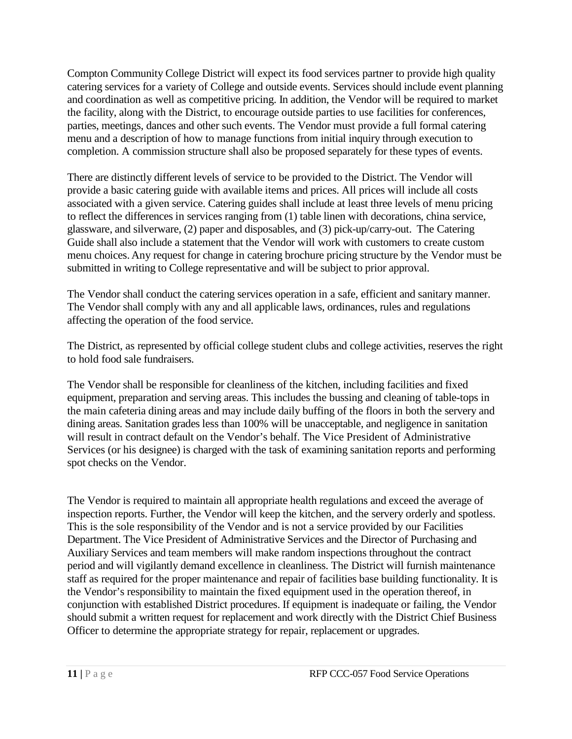Compton Community College District will expect its food services partner to provide high quality catering services for a variety of College and outside events. Services should include event planning and coordination as well as competitive pricing. In addition, the Vendor will be required to market the facility, along with the District, to encourage outside parties to use facilities for conferences, parties, meetings, dances and other such events. The Vendor must provide a full formal catering menu and a description of how to manage functions from initial inquiry through execution to completion. A commission structure shall also be proposed separately for these types of events.

There are distinctly different levels of service to be provided to the District. The Vendor will provide a basic catering guide with available items and prices. All prices will include all costs associated with a given service. Catering guides shall include at least three levels of menu pricing to reflect the differences in services ranging from (1) table linen with decorations, china service, glassware, and silverware, (2) paper and disposables, and (3) pick-up/carry-out. The Catering Guide shall also include a statement that the Vendor will work with customers to create custom menu choices. Any request for change in catering brochure pricing structure by the Vendor must be submitted in writing to College representative and will be subject to prior approval.

The Vendor shall conduct the catering services operation in a safe, efficient and sanitary manner. The Vendor shall comply with any and all applicable laws, ordinances, rules and regulations affecting the operation of the food service.

The District, as represented by official college student clubs and college activities, reserves the right to hold food sale fundraisers.

The Vendor shall be responsible for cleanliness of the kitchen, including facilities and fixed equipment, preparation and serving areas. This includes the bussing and cleaning of table-tops in the main cafeteria dining areas and may include daily buffing of the floors in both the servery and dining areas. Sanitation grades less than 100% will be unacceptable, and negligence in sanitation will result in contract default on the Vendor's behalf. The Vice President of Administrative Services (or his designee) is charged with the task of examining sanitation reports and performing spot checks on the Vendor.

The Vendor is required to maintain all appropriate health regulations and exceed the average of inspection reports. Further, the Vendor will keep the kitchen, and the servery orderly and spotless. This is the sole responsibility of the Vendor and is not a service provided by our Facilities Department. The Vice President of Administrative Services and the Director of Purchasing and Auxiliary Services and team members will make random inspections throughout the contract period and will vigilantly demand excellence in cleanliness. The District will furnish maintenance staff as required for the proper maintenance and repair of facilities base building functionality. It is the Vendor's responsibility to maintain the fixed equipment used in the operation thereof, in conjunction with established District procedures. If equipment is inadequate or failing, the Vendor should submit a written request for replacement and work directly with the District Chief Business Officer to determine the appropriate strategy for repair, replacement or upgrades.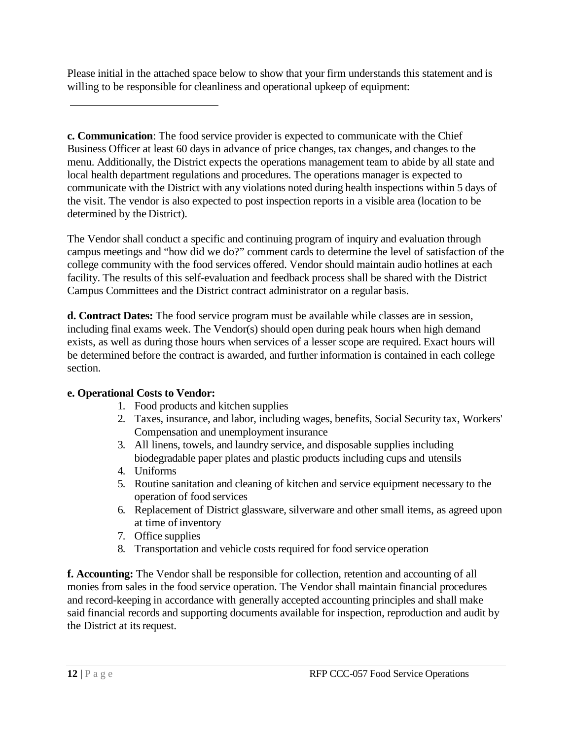Please initial in the attached space below to show that your firm understands this statement and is willing to be responsible for cleanliness and operational upkeep of equipment:

**c. Communication**: The food service provider is expected to communicate with the Chief Business Officer at least 60 days in advance of price changes, tax changes, and changes to the menu. Additionally, the District expects the operations management team to abide by all state and local health department regulations and procedures. The operations manager is expected to communicate with the District with any violations noted during health inspections within 5 days of the visit. The vendor is also expected to post inspection reports in a visible area (location to be determined by the District).

The Vendor shall conduct a specific and continuing program of inquiry and evaluation through campus meetings and "how did we do?" comment cards to determine the level of satisfaction of the college community with the food services offered. Vendor should maintain audio hotlines at each facility. The results of this self-evaluation and feedback process shall be shared with the District Campus Committees and the District contract administrator on a regular basis.

**d. Contract Dates:** The food service program must be available while classes are in session, including final exams week. The Vendor(s) should open during peak hours when high demand exists, as well as during those hours when services of a lesser scope are required. Exact hours will be determined before the contract is awarded, and further information is contained in each college section.

## **e. Operational Costs to Vendor:**

- 1. Food products and kitchen supplies
- 2. Taxes, insurance, and labor, including wages, benefits, Social Security tax, Workers' Compensation and unemployment insurance
- 3. All linens, towels, and laundry service, and disposable supplies including biodegradable paper plates and plastic products including cups and utensils
- 4. Uniforms
- 5. Routine sanitation and cleaning of kitchen and service equipment necessary to the operation of food services
- 6. Replacement of District glassware, silverware and other small items, as agreed upon at time of inventory
- 7. Office supplies
- 8. Transportation and vehicle costs required for food service operation

**f. Accounting:** The Vendor shall be responsible for collection, retention and accounting of all monies from sales in the food service operation. The Vendor shall maintain financial procedures and record-keeping in accordance with generally accepted accounting principles and shall make said financial records and supporting documents available for inspection, reproduction and audit by the District at its request.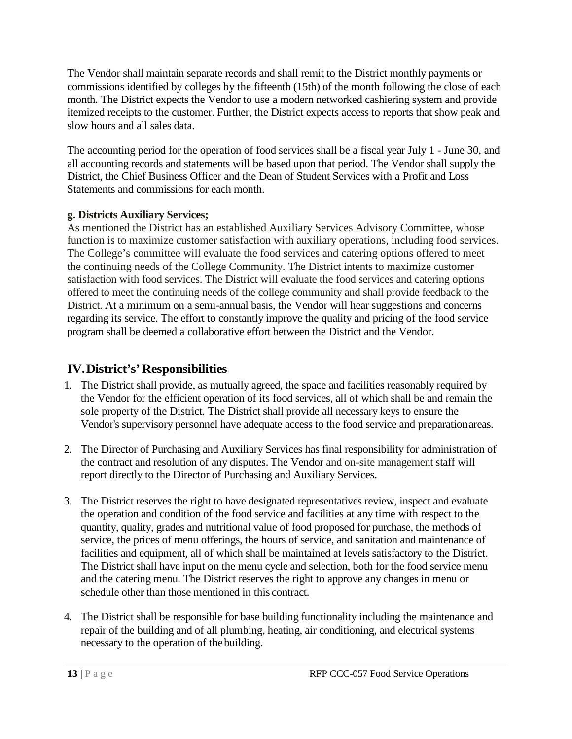The Vendor shall maintain separate records and shall remit to the District monthly payments or commissions identified by colleges by the fifteenth (15th) of the month following the close of each month. The District expects the Vendor to use a modern networked cashiering system and provide itemized receipts to the customer. Further, the District expects access to reports that show peak and slow hours and all sales data.

The accounting period for the operation of food services shall be a fiscal year July 1 - June 30, and all accounting records and statements will be based upon that period. The Vendor shall supply the District, the Chief Business Officer and the Dean of Student Services with a Profit and Loss Statements and commissions for each month.

## **g. Districts Auxiliary Services;**

As mentioned the District has an established Auxiliary Services Advisory Committee, whose function is to maximize customer satisfaction with auxiliary operations, including food services. The College's committee will evaluate the food services and catering options offered to meet the continuing needs of the College Community. The District intents to maximize customer satisfaction with food services. The District will evaluate the food services and catering options offered to meet the continuing needs of the college community and shall provide feedback to the District. At a minimum on a semi-annual basis, the Vendor will hear suggestions and concerns regarding its service. The effort to constantly improve the quality and pricing of the food service program shall be deemed a collaborative effort between the District and the Vendor.

## **IV.District's'Responsibilities**

- 1. The District shall provide, as mutually agreed, the space and facilities reasonably required by the Vendor for the efficient operation of its food services, all of which shall be and remain the sole property of the District. The District shall provide all necessary keys to ensure the Vendor's supervisory personnel have adequate access to the food service and preparationareas.
- 2. The Director of Purchasing and Auxiliary Services has final responsibility for administration of the contract and resolution of any disputes. The Vendor and on-site management staff will report directly to the Director of Purchasing and Auxiliary Services.
- 3. The District reserves the right to have designated representatives review, inspect and evaluate the operation and condition of the food service and facilities at any time with respect to the quantity, quality, grades and nutritional value of food proposed for purchase, the methods of service, the prices of menu offerings, the hours of service, and sanitation and maintenance of facilities and equipment, all of which shall be maintained at levels satisfactory to the District. The District shall have input on the menu cycle and selection, both for the food service menu and the catering menu. The District reserves the right to approve any changes in menu or schedule other than those mentioned in this contract.
- 4. The District shall be responsible for base building functionality including the maintenance and repair of the building and of all plumbing, heating, air conditioning, and electrical systems necessary to the operation of thebuilding.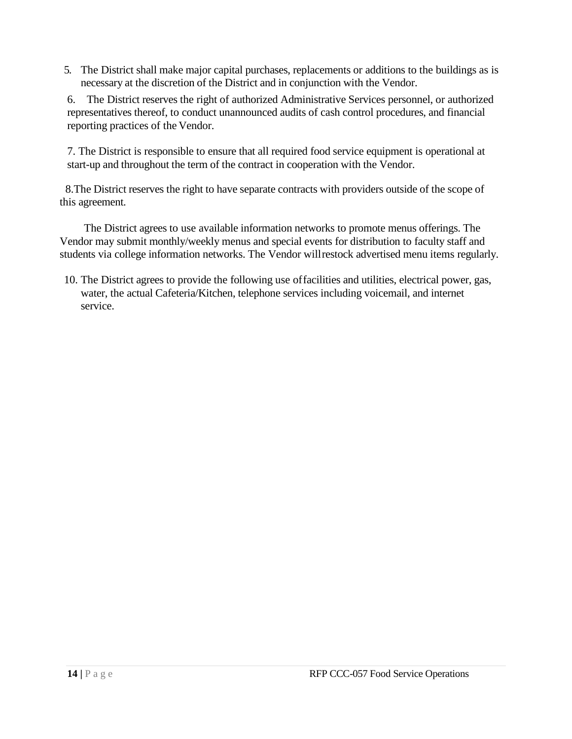5. The District shall make major capital purchases, replacements or additions to the buildings as is necessary at the discretion of the District and in conjunction with the Vendor.

6. The District reserves the right of authorized Administrative Services personnel, or authorized representatives thereof, to conduct unannounced audits of cash control procedures, and financial reporting practices of the Vendor.

7. The District is responsible to ensure that all required food service equipment is operational at start-up and throughout the term of the contract in cooperation with the Vendor.

 8.The District reserves the right to have separate contracts with providers outside of the scope of this agreement.

The District agrees to use available information networks to promote menus offerings. The Vendor may submit monthly/weekly menus and special events for distribution to faculty staff and students via college information networks. The Vendor willrestock advertised menu items regularly.

10. The District agrees to provide the following use offacilities and utilities, electrical power, gas, water, the actual Cafeteria/Kitchen, telephone services including voicemail, and internet service.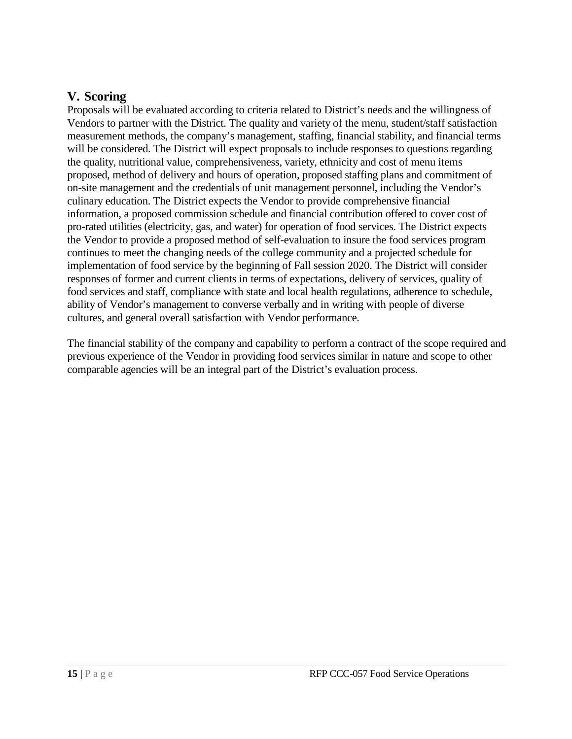## **V. Scoring**

Proposals will be evaluated according to criteria related to District's needs and the willingness of Vendors to partner with the District. The quality and variety of the menu, student/staff satisfaction measurement methods, the company's management, staffing, financial stability, and financial terms will be considered. The District will expect proposals to include responses to questions regarding the quality, nutritional value, comprehensiveness, variety, ethnicity and cost of menu items proposed, method of delivery and hours of operation, proposed staffing plans and commitment of on-site management and the credentials of unit management personnel, including the Vendor's culinary education. The District expects the Vendor to provide comprehensive financial information, a proposed commission schedule and financial contribution offered to cover cost of pro-rated utilities (electricity, gas, and water) for operation of food services. The District expects the Vendor to provide a proposed method of self-evaluation to insure the food services program continues to meet the changing needs of the college community and a projected schedule for implementation of food service by the beginning of Fall session 2020. The District will consider responses of former and current clients in terms of expectations, delivery of services, quality of food services and staff, compliance with state and local health regulations, adherence to schedule, ability of Vendor's management to converse verbally and in writing with people of diverse cultures, and general overall satisfaction with Vendor performance.

The financial stability of the company and capability to perform a contract of the scope required and previous experience of the Vendor in providing food services similar in nature and scope to other comparable agencies will be an integral part of the District's evaluation process.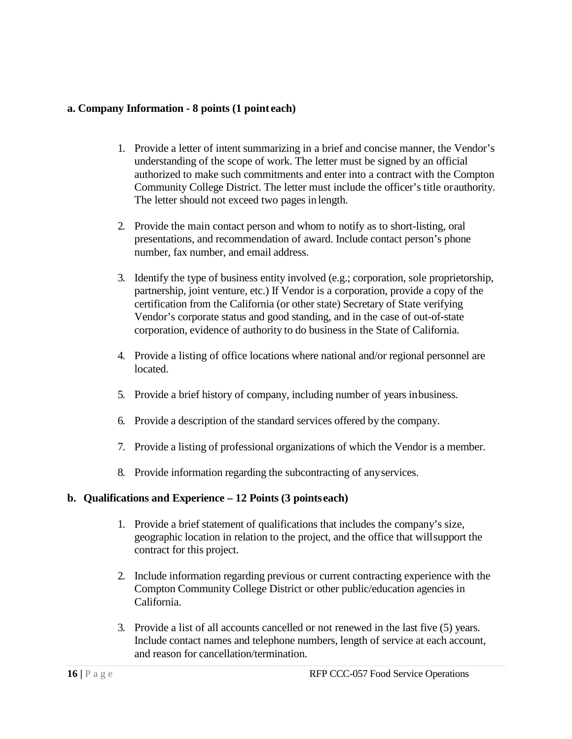#### **a. Company Information - 8 points (1 point each)**

- 1. Provide a letter of intent summarizing in a brief and concise manner, the Vendor's understanding of the scope of work. The letter must be signed by an official authorized to make such commitments and enter into a contract with the Compton Community College District. The letter must include the officer's title orauthority. The letter should not exceed two pages in length.
- 2. Provide the main contact person and whom to notify as to short-listing, oral presentations, and recommendation of award. Include contact person's phone number, fax number, and email address.
- 3. Identify the type of business entity involved (e.g.; corporation, sole proprietorship, partnership, joint venture, etc.) If Vendor is a corporation, provide a copy of the certification from the California (or other state) Secretary of State verifying Vendor's corporate status and good standing, and in the case of out-of-state corporation, evidence of authority to do business in the State of California.
- 4. Provide a listing of office locations where national and/or regional personnel are located.
- 5. Provide a brief history of company, including number of years inbusiness.
- 6. Provide a description of the standard services offered by the company.
- 7. Provide a listing of professional organizations of which the Vendor is a member.
- 8. Provide information regarding the subcontracting of anyservices.

## **b. Qualifications and Experience – 12 Points (3 points each)**

- 1. Provide a brief statement of qualifications that includes the company's size, geographic location in relation to the project, and the office that willsupport the contract for this project.
- 2. Include information regarding previous or current contracting experience with the Compton Community College District or other public/education agencies in California.
- 3. Provide a list of all accounts cancelled or not renewed in the last five (5) years. Include contact names and telephone numbers, length of service at each account, and reason for cancellation/termination.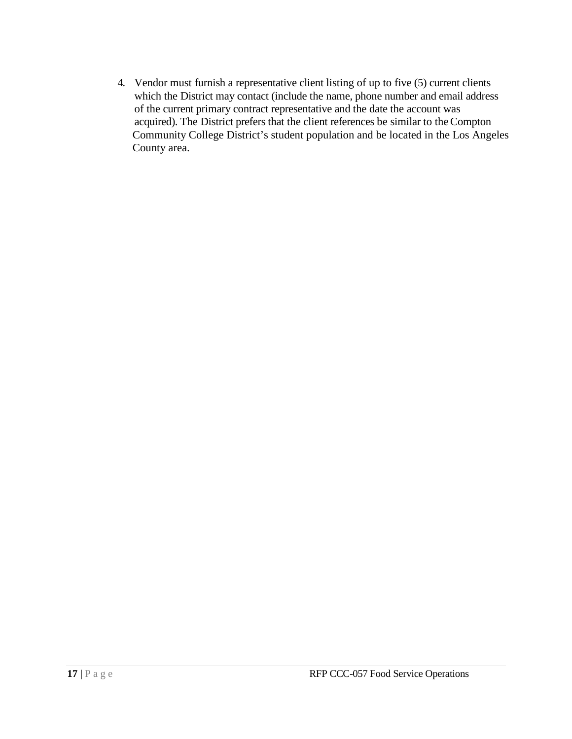4. Vendor must furnish a representative client listing of up to five (5) current clients which the District may contact (include the name, phone number and email address of the current primary contract representative and the date the account was acquired). The District prefers that the client references be similar to theCompton Community College District's student population and be located in the Los Angeles County area.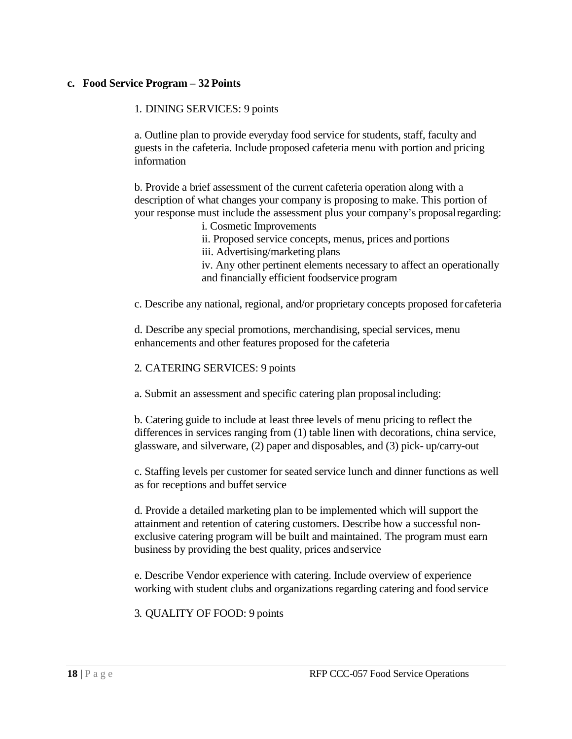#### **c. Food Service Program – 32 Points**

#### 1. DINING SERVICES: 9 points

a. Outline plan to provide everyday food service for students, staff, faculty and guests in the cafeteria. Include proposed cafeteria menu with portion and pricing information

b. Provide a brief assessment of the current cafeteria operation along with a description of what changes your company is proposing to make. This portion of your response must include the assessment plus your company's proposalregarding:

- i. Cosmetic Improvements
- ii. Proposed service concepts, menus, prices and portions
- iii. Advertising/marketing plans

iv. Any other pertinent elements necessary to affect an operationally and financially efficient foodservice program

c. Describe any national, regional, and/or proprietary concepts proposed for cafeteria

d. Describe any special promotions, merchandising, special services, menu enhancements and other features proposed for the cafeteria

#### 2. CATERING SERVICES: 9 points

a. Submit an assessment and specific catering plan proposalincluding:

b. Catering guide to include at least three levels of menu pricing to reflect the differences in services ranging from (1) table linen with decorations, china service, glassware, and silverware, (2) paper and disposables, and (3) pick- up/carry-out

c. Staffing levels per customer for seated service lunch and dinner functions as well as for receptions and buffet service

d. Provide a detailed marketing plan to be implemented which will support the attainment and retention of catering customers. Describe how a successful nonexclusive catering program will be built and maintained. The program must earn business by providing the best quality, prices andservice

e. Describe Vendor experience with catering. Include overview of experience working with student clubs and organizations regarding catering and food service

3. QUALITY OF FOOD: 9 points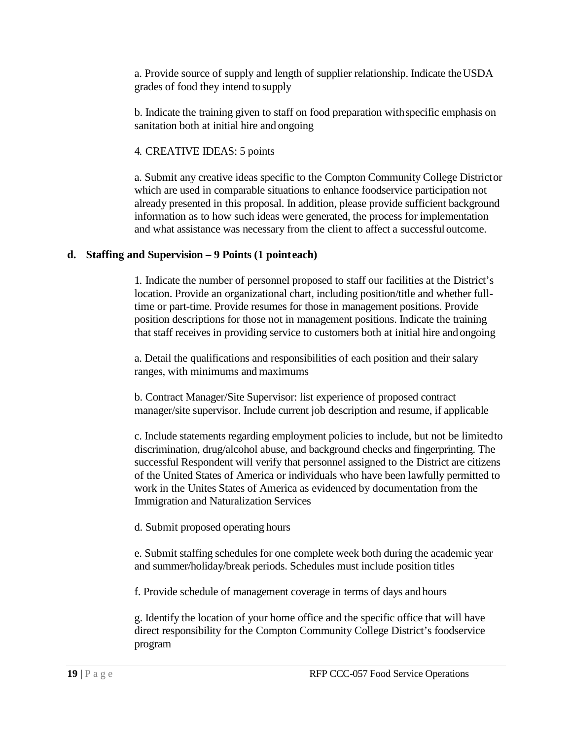a. Provide source of supply and length of supplier relationship. Indicate theUSDA grades of food they intend to supply

b. Indicate the training given to staff on food preparation withspecific emphasis on sanitation both at initial hire and ongoing

4. CREATIVE IDEAS: 5 points

a. Submit any creative ideas specific to the Compton Community College Districtor which are used in comparable situations to enhance foodservice participation not already presented in this proposal. In addition, please provide sufficient background information as to how such ideas were generated, the process for implementation and what assistance was necessary from the client to affect a successfuloutcome.

## **d. Staffing and Supervision – 9 Points (1 pointeach)**

1. Indicate the number of personnel proposed to staff our facilities at the District's location. Provide an organizational chart, including position/title and whether fulltime or part-time. Provide resumes for those in management positions. Provide position descriptions for those not in management positions. Indicate the training that staff receives in providing service to customers both at initial hire andongoing

a. Detail the qualifications and responsibilities of each position and their salary ranges, with minimums and maximums

b. Contract Manager/Site Supervisor: list experience of proposed contract manager/site supervisor. Include current job description and resume, if applicable

c. Include statements regarding employment policies to include, but not be limitedto discrimination, drug/alcohol abuse, and background checks and fingerprinting. The successful Respondent will verify that personnel assigned to the District are citizens of the United States of America or individuals who have been lawfully permitted to work in the Unites States of America as evidenced by documentation from the Immigration and Naturalization Services

d. Submit proposed operating hours

e. Submit staffing schedules for one complete week both during the academic year and summer/holiday/break periods. Schedules must include position titles

f. Provide schedule of management coverage in terms of days and hours

g. Identify the location of your home office and the specific office that will have direct responsibility for the Compton Community College District's foodservice program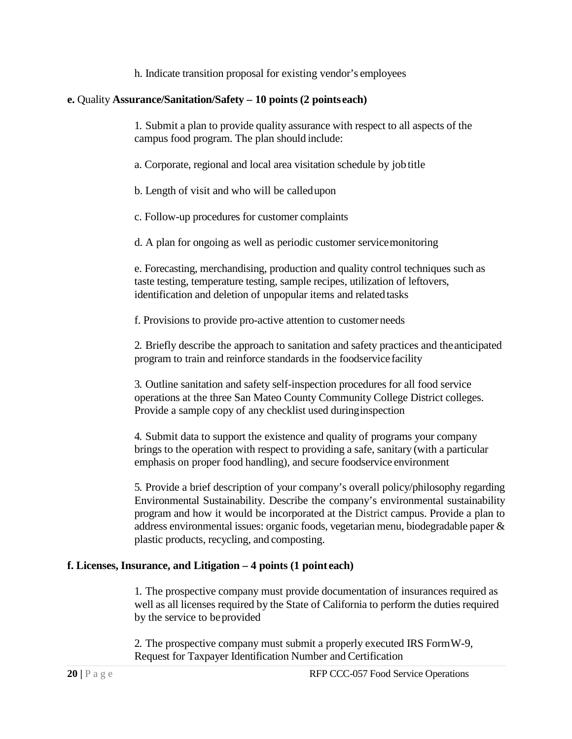h. Indicate transition proposal for existing vendor's employees

#### **e.** Quality **Assurance/Sanitation/Safety – 10 points (2 points each)**

1. Submit a plan to provide quality assurance with respect to all aspects of the campus food program. The plan should include:

a. Corporate, regional and local area visitation schedule by jobtitle

b. Length of visit and who will be calledupon

c. Follow-up procedures for customer complaints

d. A plan for ongoing as well as periodic customer servicemonitoring

e. Forecasting, merchandising, production and quality control techniques such as taste testing, temperature testing, sample recipes, utilization of leftovers, identification and deletion of unpopular items and related tasks

f. Provisions to provide pro-active attention to customer needs

2. Briefly describe the approach to sanitation and safety practices and theanticipated program to train and reinforce standards in the foodservice facility

3. Outline sanitation and safety self-inspection procedures for all food service operations at the three San Mateo County Community College District colleges. Provide a sample copy of any checklist used duringinspection

4. Submit data to support the existence and quality of programs your company brings to the operation with respect to providing a safe, sanitary (with a particular emphasis on proper food handling), and secure foodservice environment

5. Provide a brief description of your company's overall policy/philosophy regarding Environmental Sustainability. Describe the company's environmental sustainability program and how it would be incorporated at the District campus. Provide a plan to address environmental issues: organic foods, vegetarian menu, biodegradable paper & plastic products, recycling, and composting.

## **f. Licenses, Insurance, and Litigation – 4 points (1 point each)**

1. The prospective company must provide documentation of insurances required as well as all licenses required by the State of California to perform the duties required by the service to beprovided

2. The prospective company must submit a properly executed IRS FormW-9, Request for Taxpayer Identification Number and Certification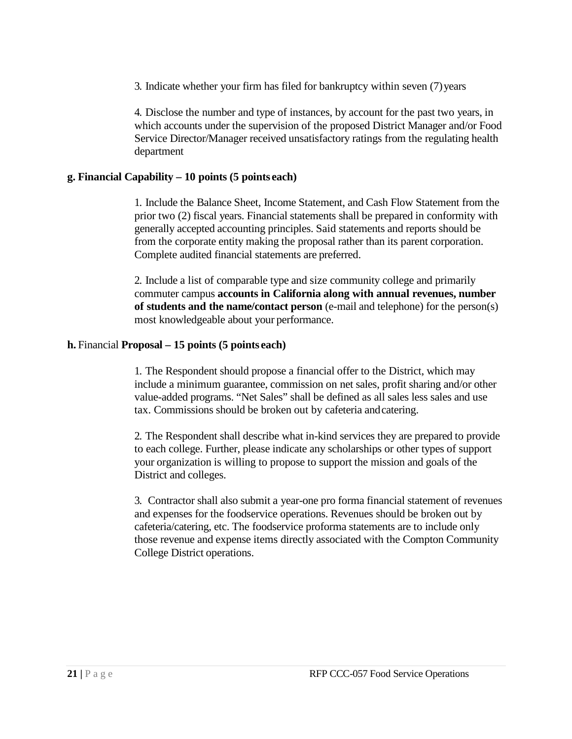3. Indicate whether your firm has filed for bankruptcy within seven (7)years

4. Disclose the number and type of instances, by account for the past two years, in which accounts under the supervision of the proposed District Manager and/or Food Service Director/Manager received unsatisfactory ratings from the regulating health department

#### **g. Financial Capability – 10 points (5 points each)**

1. Include the Balance Sheet, Income Statement, and Cash Flow Statement from the prior two (2) fiscal years. Financial statements shall be prepared in conformity with generally accepted accounting principles. Said statements and reports should be from the corporate entity making the proposal rather than its parent corporation. Complete audited financial statements are preferred.

2. Include a list of comparable type and size community college and primarily commuter campus **accounts in California along with annual revenues, number of students and the name/contact person** (e-mail and telephone) for the person(s) most knowledgeable about your performance.

#### **h.** Financial **Proposal – 15 points (5 points each)**

1. The Respondent should propose a financial offer to the District, which may include a minimum guarantee, commission on net sales, profit sharing and/or other value-added programs. "Net Sales" shall be defined as all sales less sales and use tax. Commissions should be broken out by cafeteria andcatering.

2. The Respondent shall describe what in-kind services they are prepared to provide to each college. Further, please indicate any scholarships or other types of support your organization is willing to propose to support the mission and goals of the District and colleges.

3. Contractor shall also submit a year-one pro forma financial statement of revenues and expenses for the foodservice operations. Revenues should be broken out by cafeteria/catering, etc. The foodservice proforma statements are to include only those revenue and expense items directly associated with the Compton Community College District operations.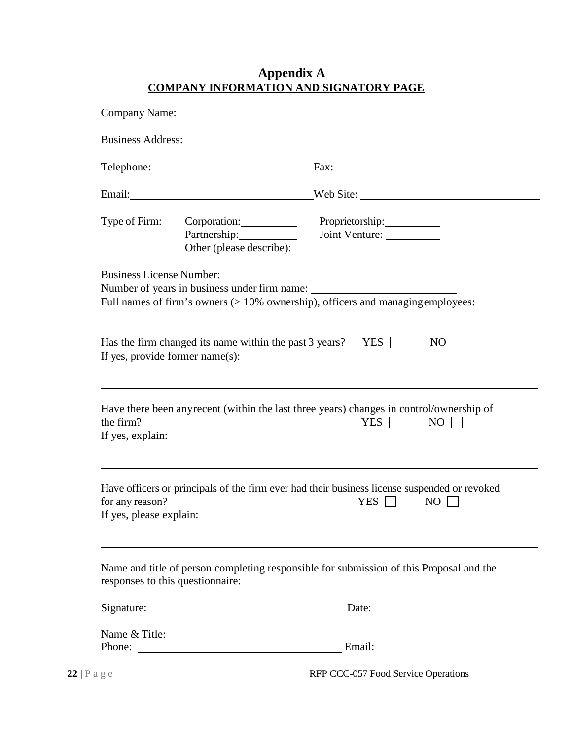## **Appendix A COMPANY INFORMATION AND SIGNATORY PAGE**

|                                                                                                                             |  | Telephone: Fax: Fax:                                                                                                              |  |  |
|-----------------------------------------------------------------------------------------------------------------------------|--|-----------------------------------------------------------------------------------------------------------------------------------|--|--|
|                                                                                                                             |  | Email: Web Site:                                                                                                                  |  |  |
| Type of Firm:                                                                                                               |  | Corporation: Proprietorship:                                                                                                      |  |  |
|                                                                                                                             |  | Number of years in business under firm name:<br>Full names of firm's owners $(>10\%$ ownership), officers and managing employees: |  |  |
| Has the firm changed its name within the past 3 years? YES $\Box$<br>$NO$  <br>If yes, provide former name(s):              |  |                                                                                                                                   |  |  |
| the firm?<br>If yes, explain:                                                                                               |  | Have there been any recent (within the last three years) changes in control/ownership of<br>YES $\Box$<br>NO                      |  |  |
| for any reason?<br>If yes, please explain:                                                                                  |  | Have officers or principals of the firm ever had their business license suspended or revoked<br>YES $\Box$<br>$NO$                |  |  |
| Name and title of person completing responsible for submission of this Proposal and the<br>responses to this questionnaire: |  |                                                                                                                                   |  |  |
|                                                                                                                             |  |                                                                                                                                   |  |  |
|                                                                                                                             |  |                                                                                                                                   |  |  |
|                                                                                                                             |  |                                                                                                                                   |  |  |